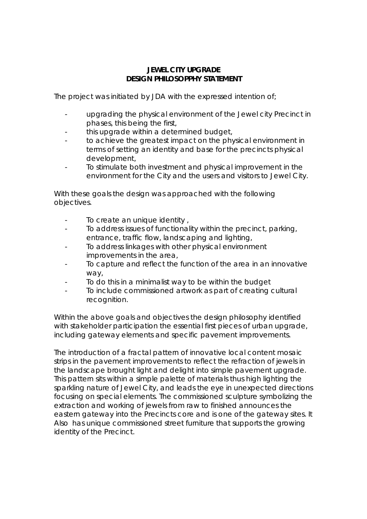## **JEWEL CITY UPGRADE DESIGN PHILOSOPPHY STATEMENT**

The project was initiated by JDA with the expressed intention of;

- upgrading the physical environment of the Jewel city Precinct in phases, this being the first,
- this upgrade within a determined budget,
- to achieve the greatest impact on the physical environment in terms of setting an identity and base for the precincts physical development,
- To stimulate both investment and physical improvement in the environment for the City and the users and visitors to Jewel City.

With these goals the design was approached with the following objectives.

- To create an unique identity,
- To address issues of functionality within the precinct, parking, entrance, traffic flow, landscaping and lighting,
- To address linkages with other physical environment improvements in the area,
- To capture and reflect the function of the area in an innovative way,
- To do this in a minimalist way to be within the budget
- To include commissioned artwork as part of creating cultural recognition.

Within the above goals and objectives the design philosophy identified with stakeholder participation the essential first pieces of urban upgrade, including gateway elements and specific pavement improvements.

The introduction of a fractal pattern of innovative local content mosaic strips in the pavement improvements to reflect the refraction of jewels in the landscape brought light and delight into simple pavement upgrade. This pattern sits within a simple palette of materials thus high lighting the sparkling nature of Jewel City, and leads the eye in unexpected directions focusing on special elements. The commissioned sculpture symbolizing the extraction and working of jewels from raw to finished announces the eastern gateway into the Precincts core and is one of the gateway sites. It Also has unique commissioned street furniture that supports the growing identity of the Precinct.